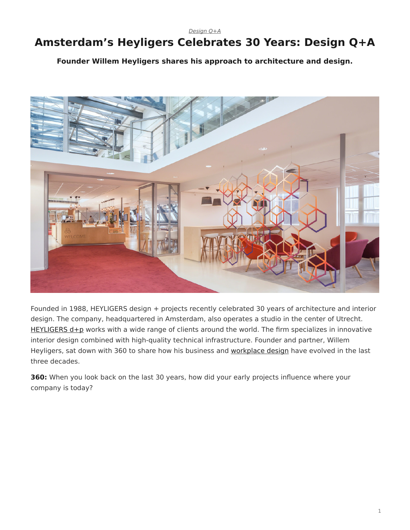*[Design Q+A](https://www.steelcase.com/research/topics/design-q-a/)*

## <span id="page-0-0"></span>**Amsterdam's Heyligers Celebrates 30 Years: Design Q+A**

**Founder Willem Heyligers shares his approach to architecture and design.**



Founded in 1988, HEYLIGERS design + projects recently celebrated 30 years of architecture and interior design. The company, headquartered in Amsterdam, also operates a studio in the center of Utrecht. [HEYLIGERS d+p](http://h-dp.nl/en/) works with a wide range of clients around the world. The firm specializes in innovative interior design combined with high-quality technical infrastructure. Founder and partner, Willem Heyligers, sat down with 360 to share how his business and [workplace design](https://www.steelcase.com/research/articles/topics/workplace/seven-emerging-workplace-design-influences-in-2018/) have evolved in the last three decades.

**360:** When you look back on the last 30 years, how did your early projects influence where your company is today?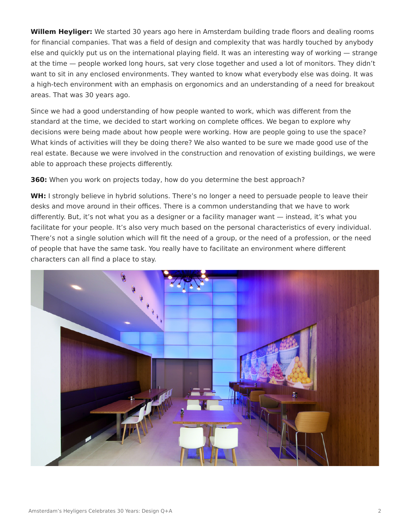**Willem Heyliger:** We started 30 years ago here in Amsterdam building trade floors and dealing rooms for financial companies. That was a field of design and complexity that was hardly touched by anybody else and quickly put us on the international playing field. It was an interesting way of working — strange at the time — people worked long hours, sat very close together and used a lot of monitors. They didn't want to sit in any enclosed environments. They wanted to know what everybody else was doing. It was a high-tech environment with an emphasis on ergonomics and an understanding of a need for breakout areas. That was 30 years ago.

Since we had a good understanding of how people wanted to work, which was different from the standard at the time, we decided to start working on complete offices. We began to explore why decisions were being made about how people were working. How are people going to use the space? What kinds of activities will they be doing there? We also wanted to be sure we made good use of the real estate. Because we were involved in the construction and renovation of existing buildings, we were able to approach these projects differently.

**360:** When you work on projects today, how do you determine the best approach?

**WH:** I strongly believe in hybrid solutions. There's no longer a need to persuade people to leave their desks and move around in their offices. There is a common understanding that we have to work differently. But, it's not what you as a designer or a facility manager want — instead, it's what you facilitate for your people. It's also very much based on the personal characteristics of every individual. There's not a single solution which will fit the need of a group, or the need of a profession, or the need of people that have the same task. You really have to facilitate an environment where different characters can all find a place to stay.

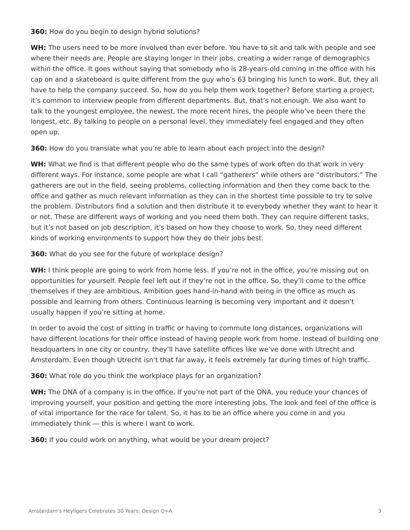**360:** How do you begin to design hybrid solutions?

**WH:** The users need to be more involved than ever before. You have to sit and talk with people and see where their needs are. People are staying longer in their jobs, creating a wider range of demographics within the office. It goes without saying that somebody who is 28-years-old coming in the office with his cap on and a skateboard is quite different from the guy who's 63 bringing his lunch to work. But, they all have to help the company succeed. So, how do you help them work together? Before starting a project, it's common to interview people from different departments. But, that's not enough. We also want to talk to the youngest employee, the newest, the more recent hires, the people who've been there the longest, etc. By talking to people on a personal level, they immediately feel engaged and they often open up.

**360:** How do you translate what you're able to learn about each project into the design?

**WH:** What we find is that different people who do the same types of work often do that work in very different ways. For instance, some people are what I call "gatherers" while others are "distributors." The gatherers are out in the field, seeing problems, collecting information and then they come back to the office and gather as much relevant information as they can in the shortest time possible to try to solve the problem. Distributors find a solution and then distribute it to everybody whether they want to hear it or not. These are different ways of working and you need them both. They can require different tasks, but it's not based on job description, it's based on how they choose to work. So, they need different kinds of working environments to support how they do their jobs best.

**360:** What do you see for the future of workplace design?

WH: I think people are going to work from home less. If you're not in the office, you're missing out on opportunities for yourself. People feel left out if they're not in the office. So, they'll come to the office themselves if they are ambitious. Ambition goes hand-in-hand with being in the office as much as possible and learning from others. Continuous learning is becoming very important and it doesn't usually happen if you're sitting at home.

In order to avoid the cost of sitting in traffic or having to commute long distances, organizations will have different locations for their office instead of having people work from home. Instead of building one headquarters in one city or country, they'll have satellite offices like we've done with Utrecht and Amsterdam. Even though Utrecht isn't that far away, it feels extremely far during times of high traffic.

**360:** What role do you think the workplace plays for an organization?

**WH:** The DNA of a company is in the office. If you're not part of the DNA, you reduce your chances of improving yourself, your position and getting the more interesting jobs. The look and feel of the office is of vital importance for the race for talent. So, it has to be an office where you come in and you immediately think — this is where I want to work.

**360:** If you could work on anything, what would be your dream project?